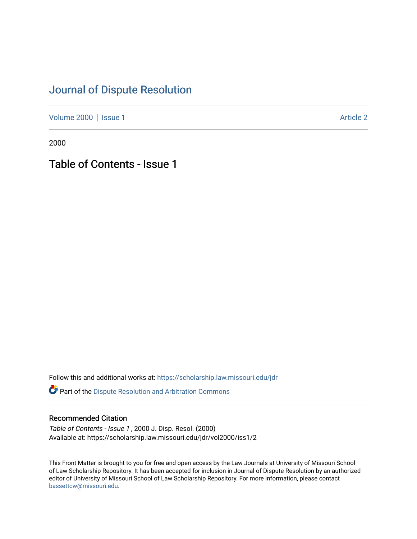## [Journal of Dispute Resolution](https://scholarship.law.missouri.edu/jdr)

[Volume 2000](https://scholarship.law.missouri.edu/jdr/vol2000) | [Issue 1](https://scholarship.law.missouri.edu/jdr/vol2000/iss1) Article 2

2000

Table of Contents - Issue 1

Follow this and additional works at: [https://scholarship.law.missouri.edu/jdr](https://scholarship.law.missouri.edu/jdr?utm_source=scholarship.law.missouri.edu%2Fjdr%2Fvol2000%2Fiss1%2F2&utm_medium=PDF&utm_campaign=PDFCoverPages) 

*O* Part of the Dispute Resolution and Arbitration Commons

### Recommended Citation

Table of Contents - Issue 1 , 2000 J. Disp. Resol. (2000) Available at: https://scholarship.law.missouri.edu/jdr/vol2000/iss1/2

This Front Matter is brought to you for free and open access by the Law Journals at University of Missouri School of Law Scholarship Repository. It has been accepted for inclusion in Journal of Dispute Resolution by an authorized editor of University of Missouri School of Law Scholarship Repository. For more information, please contact [bassettcw@missouri.edu](mailto:bassettcw@missouri.edu).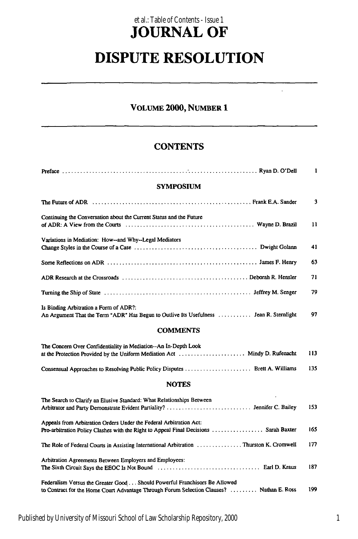### **JOURNAL OF** et al.: Table of Contents - Issue 1

# **DISPUTE RESOLUTION**

### VOLUME 2000, **NUMBER 1**

 $\ddot{\phantom{a}}$ 

#### **CONTENTS**

|                                                                                                                                                                                                                                | $\mathbf{1}$ |
|--------------------------------------------------------------------------------------------------------------------------------------------------------------------------------------------------------------------------------|--------------|
| <b>SYMPOSIUM</b>                                                                                                                                                                                                               |              |
| The Future of ADR (etc.) (etc.) (etc.) (etc.) (etc.) (etc.) (etc.) (etc.) (etc.) (etc.) (etc.) (etc.) (etc.) (                                                                                                                 | 3            |
| Continuing the Conversation about the Current Status and the Future                                                                                                                                                            | 11           |
| Variations in Mediation: How--and Why--Legal Mediators                                                                                                                                                                         | 41           |
|                                                                                                                                                                                                                                | 63           |
|                                                                                                                                                                                                                                | 71           |
| Turning the Ship of State (and according to the State of State of State of State of State of State of State of State of State of State of State of State of State of State of State of State of State of State of State of Sta | 79           |
| Is Binding Arbitration a Form of ADR?:<br>An Argument That the Term "ADR" Has Begun to Outlive Its Usefulness  Jean R. Sternlight                                                                                              | 97           |
| <b>COMMENTS</b>                                                                                                                                                                                                                |              |
| The Concern Over Confidentiality in Mediation--An In-Depth Look<br>at the Protection Provided by the Uniform Mediation Act  Mindy D. Rufenacht                                                                                 | 113          |
| Consensual Approaches to Resolving Public Policy Disputes  Brett A. Williams                                                                                                                                                   | 135          |
| <b>NOTES</b>                                                                                                                                                                                                                   |              |
| The Search to Clarify an Elusive Standard: What Relationships Between                                                                                                                                                          | 153          |
| Appeals from Arbitration Orders Under the Federal Arbitration Act:<br>Pro-arbitration Policy Clashes with the Right to Appeal Final Decisions  Sarah Baxter                                                                    | 165          |
| The Role of Federal Courts in Assisting International Arbitration Thurston K. Cromwell                                                                                                                                         | 177          |
| Arbitration Agreements Between Employers and Employees:                                                                                                                                                                        | 187          |
| Federalism Versus the Greater Good Should Powerful Franchisors Be Allowed<br>to Contract for the Home Court Advantage Through Forum Selection Clauses?  Nathan E. Ross                                                         | 199          |